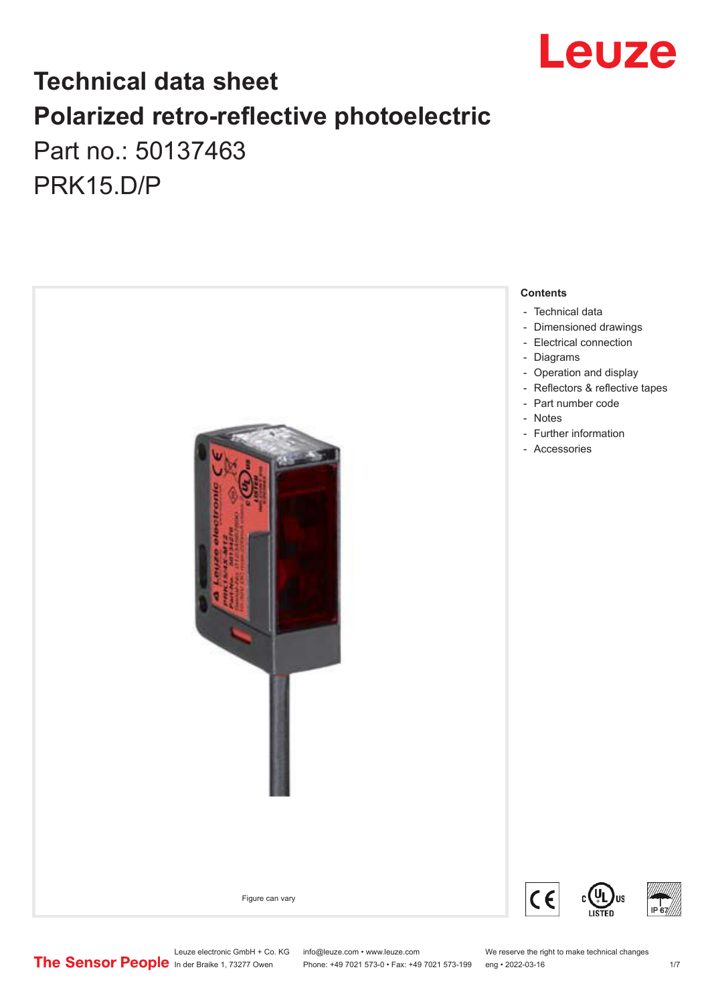

## **Technical data sheet Polarized retro-reflective photoelectric**  Part no.: 50137463

PRK15.D/P

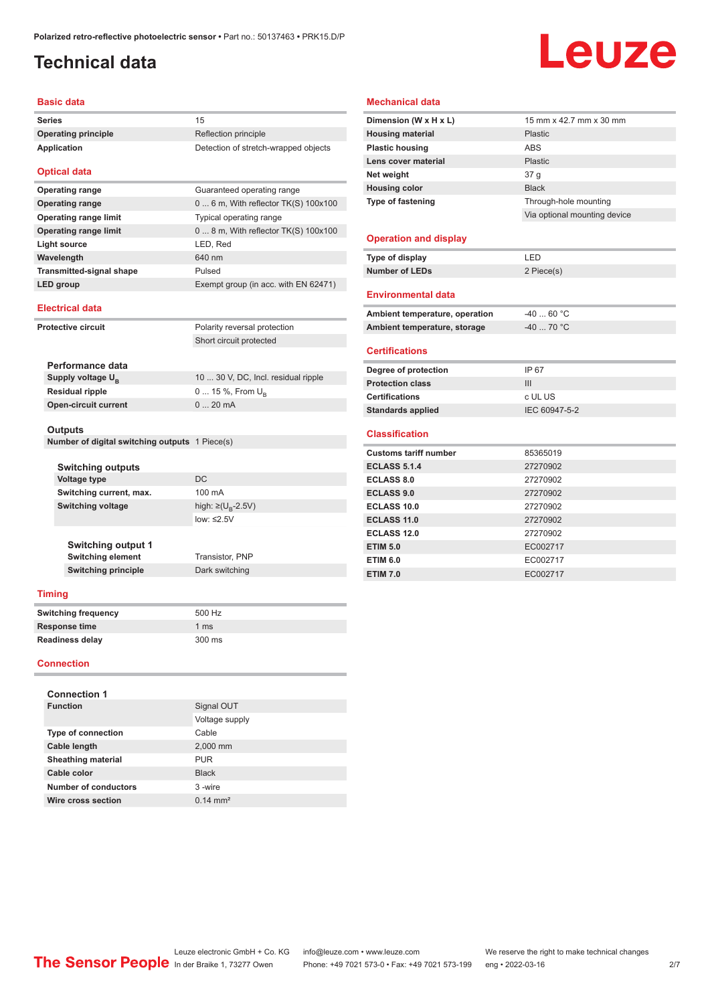### <span id="page-1-0"></span>**Technical data**

# **Leuze**

#### **Basic data**

| <b>Series</b>       | 15                                   |
|---------------------|--------------------------------------|
| Operating principle | Reflection principle                 |
| Application         | Detection of stretch-wrapped objects |
|                     |                                      |

#### **Optical data**

| <b>Operating range</b>          | Guaranteed operating range              |
|---------------------------------|-----------------------------------------|
| <b>Operating range</b>          | $0 6$ m, With reflector TK(S) $100x100$ |
| <b>Operating range limit</b>    | Typical operating range                 |
| <b>Operating range limit</b>    | $08$ m, With reflector TK(S) $100x100$  |
| Light source                    | LED, Red                                |
| Wavelength                      | 640 nm                                  |
| <b>Transmitted-signal shape</b> | Pulsed                                  |
| LED group                       | Exempt group (in acc. with EN 62471)    |

#### **Electrical data**

| Protective circuit                             | Polarity reversal protection        |  |
|------------------------------------------------|-------------------------------------|--|
|                                                | Short circuit protected             |  |
|                                                |                                     |  |
| Performance data                               |                                     |  |
| Supply voltage $U_{B}$                         | 10  30 V, DC, Incl. residual ripple |  |
| <b>Residual ripple</b>                         | $0 15 \%$ , From $U_{\rm B}$        |  |
| <b>Open-circuit current</b>                    | $020$ mA                            |  |
|                                                |                                     |  |
| <b>Outputs</b>                                 |                                     |  |
| Number of digital switching outputs 1 Piece(s) |                                     |  |

| <b>Switching outputs</b> |                                    |
|--------------------------|------------------------------------|
| <b>Voltage type</b>      | DC.                                |
| Switching current, max.  | 100 mA                             |
| <b>Switching voltage</b> | high: $\geq (U_{\text{B}} - 2.5V)$ |
|                          | low: $\leq 2.5V$                   |
|                          |                                    |

**Switching element** Transistor, PNP **Dark switching** 

| <b>Switching output 1</b>  |
|----------------------------|
| <b>Switching element</b>   |
| <b>Switching principle</b> |

#### **Timing**

| <b>Switching frequency</b> | 500 Hz |  |
|----------------------------|--------|--|
| <b>Response time</b>       | 1 ms   |  |
| Readiness delay            | 300 ms |  |

#### **Connection**

| <b>Connection 1</b>         |                     |
|-----------------------------|---------------------|
| <b>Function</b>             | Signal OUT          |
|                             | Voltage supply      |
| <b>Type of connection</b>   | Cable               |
| Cable length                | 2,000 mm            |
| <b>Sheathing material</b>   | <b>PUR</b>          |
| Cable color                 | <b>Black</b>        |
| <b>Number of conductors</b> | 3-wire              |
| Wire cross section          | $0.14 \text{ mm}^2$ |

#### **Mechanical data**

| Dimension (W x H x L)          | 15 mm x 42.7 mm x 30 mm      |
|--------------------------------|------------------------------|
| <b>Housing material</b>        | Plastic                      |
| <b>Plastic housing</b>         | <b>ABS</b>                   |
| Lens cover material            | Plastic                      |
| Net weight                     | 37 <sub>q</sub>              |
| <b>Housing color</b>           | <b>Black</b>                 |
| <b>Type of fastening</b>       | Through-hole mounting        |
|                                | Via optional mounting device |
|                                |                              |
| <b>Operation and display</b>   |                              |
| Type of display                | LED                          |
| <b>Number of LEDs</b>          | 2 Piece(s)                   |
|                                |                              |
| <b>Environmental data</b>      |                              |
| Ambient temperature, operation | $-4060 °C$                   |
| Ambient temperature, storage   | $-40$ 70 °C                  |
| <b>Certifications</b>          |                              |
| Degree of protection           | IP 67                        |
| <b>Protection class</b>        | III                          |
| <b>Certifications</b>          | c UL US                      |
| <b>Standards applied</b>       | IEC 60947-5-2                |
|                                |                              |
| <b>Classification</b>          |                              |
| <b>Customs tariff number</b>   | 85365019                     |
| <b>ECLASS 5.1.4</b>            | 27270902                     |
| <b>ECLASS 8.0</b>              | 27270902                     |
| <b>ECLASS 9.0</b>              | 27270902                     |
| ECLASS 10.0                    | 27270902                     |
| <b>ECLASS 11.0</b>             | 27270902                     |
| <b>ECLASS 12.0</b>             | 27270902                     |
| <b>ETIM 5.0</b>                | EC002717                     |
| <b>ETIM 6.0</b>                | EC002717                     |
| <b>ETIM 7.0</b>                | EC002717                     |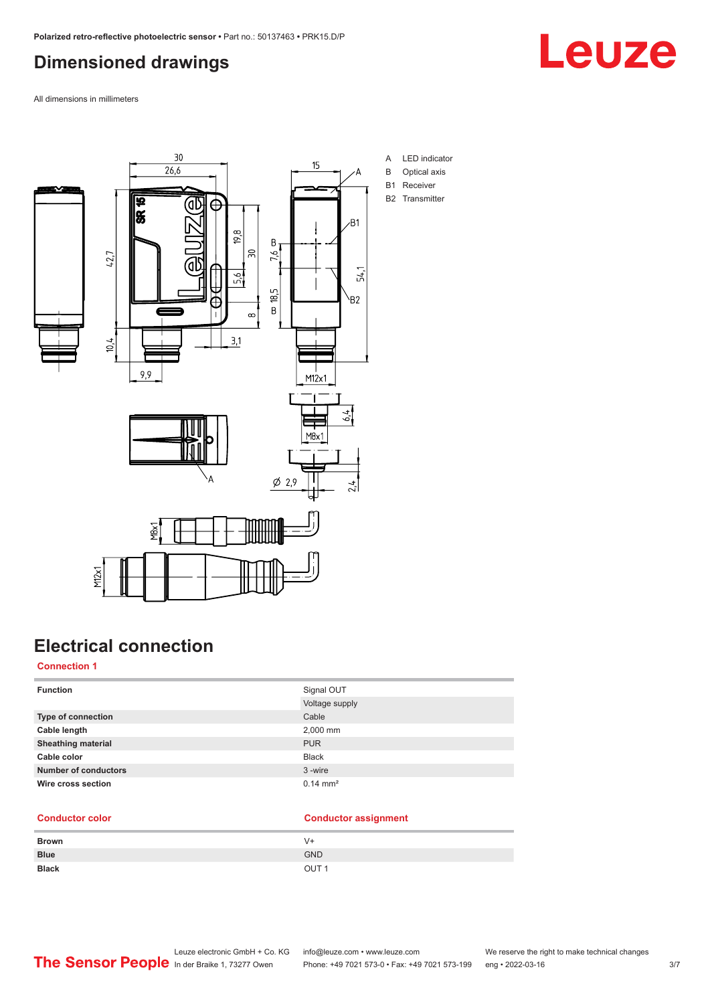## <span id="page-2-0"></span>**Dimensioned drawings**



All dimensions in millimeters



## **Electrical connection**

#### **Connection 1**

| <b>Function</b>             | Signal OUT          |
|-----------------------------|---------------------|
|                             | Voltage supply      |
| <b>Type of connection</b>   | Cable               |
| Cable length                | 2,000 mm            |
| <b>Sheathing material</b>   | <b>PUR</b>          |
| Cable color                 | <b>Black</b>        |
| <b>Number of conductors</b> | 3-wire              |
| Wire cross section          | $0.14 \text{ mm}^2$ |

#### **Conductor color Conductor assignment**

| <b>Brown</b> | V+               |
|--------------|------------------|
| <b>Blue</b>  | <b>GND</b>       |
| <b>Black</b> | OUT <sub>1</sub> |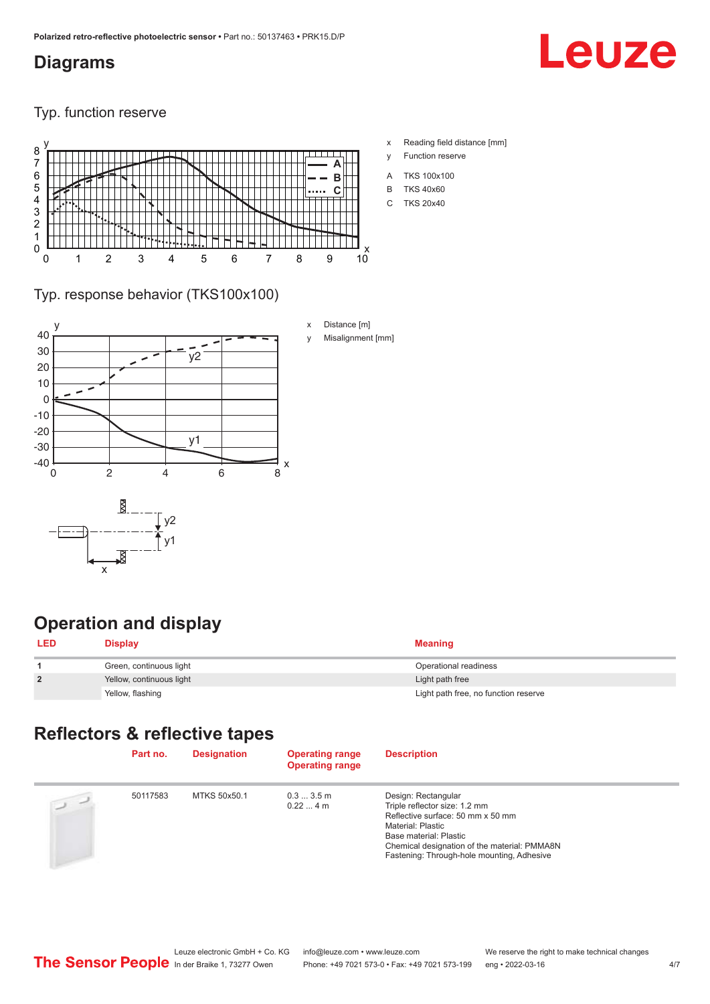#### <span id="page-3-0"></span>**Diagrams**

# Leuze

Typ. function reserve



- x Reading field distance [mm]
- y Function reserve
- A TKS 100x100
- B TKS 40x60
- C TKS 20x40

#### Typ. response behavior (TKS100x100)



## **Operation and display**

| <b>LED</b>     | <b>Display</b>           | <b>Meaning</b>                       |
|----------------|--------------------------|--------------------------------------|
|                | Green, continuous light  | Operational readiness                |
| $\overline{2}$ | Yellow, continuous light | Light path free                      |
|                | Yellow, flashing         | Light path free, no function reserve |

### **Reflectors & reflective tapes**

| Part no. | <b>Designation</b> | <b>Operating range</b><br><b>Operating range</b> | <b>Description</b>                                                                                                                                                                                                                     |
|----------|--------------------|--------------------------------------------------|----------------------------------------------------------------------------------------------------------------------------------------------------------------------------------------------------------------------------------------|
| 50117583 | MTKS 50x50.1       | $0.33.5$ m<br>$0.224$ m                          | Design: Rectangular<br>Triple reflector size: 1.2 mm<br>Reflective surface: 50 mm x 50 mm<br>Material: Plastic<br>Base material: Plastic<br>Chemical designation of the material: PMMA8N<br>Fastening: Through-hole mounting, Adhesive |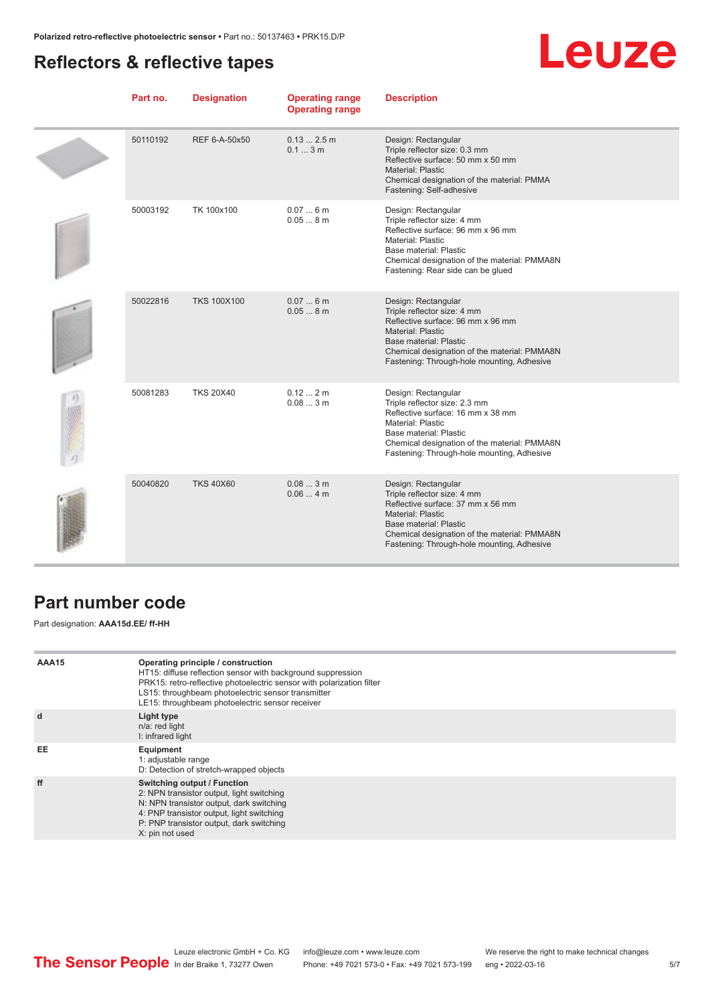### <span id="page-4-0"></span>**Reflectors & reflective tapes**

# Leuze

| Part no. | <b>Designation</b> | <b>Operating range</b><br><b>Operating range</b> | <b>Description</b>                                                                                                                                                                                                                          |
|----------|--------------------|--------------------------------------------------|---------------------------------------------------------------------------------------------------------------------------------------------------------------------------------------------------------------------------------------------|
| 50110192 | REF 6-A-50x50      | $0.132.5$ m<br>0.13m                             | Design: Rectangular<br>Triple reflector size: 0.3 mm<br>Reflective surface: 50 mm x 50 mm<br>Material: Plastic<br>Chemical designation of the material: PMMA<br>Fastening: Self-adhesive                                                    |
| 50003192 | TK 100x100         | 0.076m<br>0.058m                                 | Design: Rectangular<br>Triple reflector size: 4 mm<br>Reflective surface: 96 mm x 96 mm<br>Material: Plastic<br>Base material: Plastic<br>Chemical designation of the material: PMMA8N<br>Fastening: Rear side can be glued                 |
| 50022816 | <b>TKS 100X100</b> | 0.076m<br>0.058m                                 | Design: Rectangular<br>Triple reflector size: 4 mm<br>Reflective surface: 96 mm x 96 mm<br><b>Material: Plastic</b><br>Base material: Plastic<br>Chemical designation of the material: PMMA8N<br>Fastening: Through-hole mounting, Adhesive |
| 50081283 | <b>TKS 20X40</b>   | 0.122m<br>0.083m                                 | Design: Rectangular<br>Triple reflector size: 2.3 mm<br>Reflective surface: 16 mm x 38 mm<br>Material: Plastic<br>Base material: Plastic<br>Chemical designation of the material: PMMA8N<br>Fastening: Through-hole mounting, Adhesive      |
| 50040820 | <b>TKS 40X60</b>   | 0.083m<br>0.064m                                 | Design: Rectangular<br>Triple reflector size: 4 mm<br>Reflective surface: 37 mm x 56 mm<br><b>Material: Plastic</b><br>Base material: Plastic<br>Chemical designation of the material: PMMA8N<br>Fastening: Through-hole mounting, Adhesive |

#### **Part number code**

Part designation: **AAA15d.EE/ ff-HH**

| AAA15 | Operating principle / construction<br>HT15: diffuse reflection sensor with background suppression<br>PRK15: retro-reflective photoelectric sensor with polarization filter<br>LS15: throughbeam photoelectric sensor transmitter<br>LE15: throughbeam photoelectric sensor receiver |
|-------|-------------------------------------------------------------------------------------------------------------------------------------------------------------------------------------------------------------------------------------------------------------------------------------|
| d     | Light type<br>n/a: red light<br>I: infrared light                                                                                                                                                                                                                                   |
| EE    | Equipment<br>1: adjustable range<br>D: Detection of stretch-wrapped objects                                                                                                                                                                                                         |
| ff    | Switching output / Function<br>2: NPN transistor output, light switching<br>N: NPN transistor output, dark switching<br>4: PNP transistor output, light switching<br>P: PNP transistor output, dark switching<br>X: pin not used                                                    |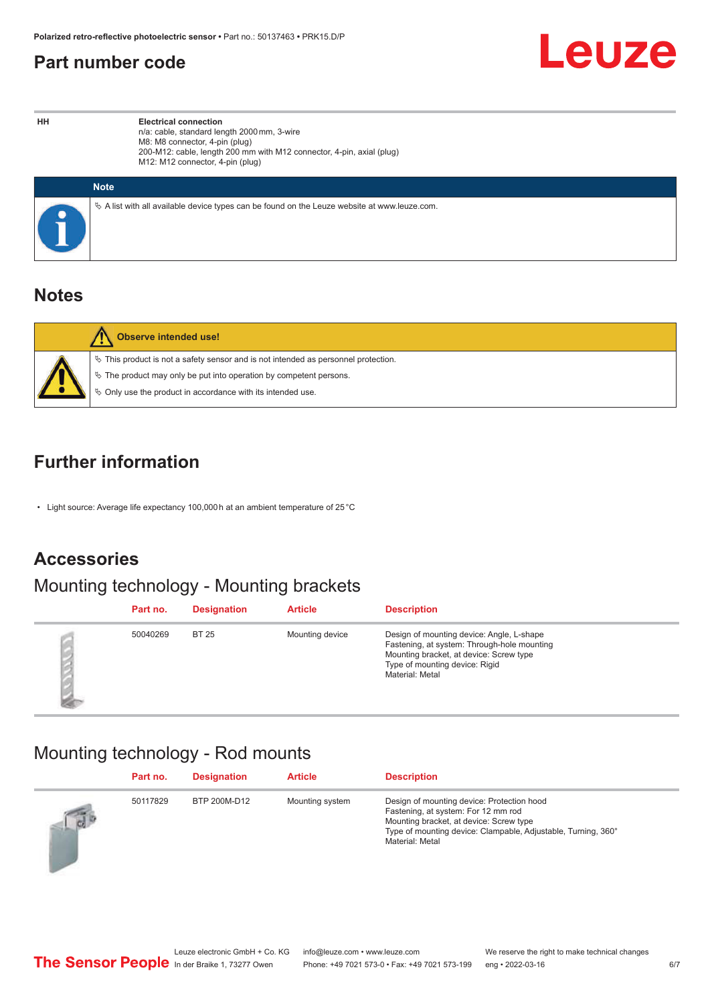#### <span id="page-5-0"></span>**Part number code**



**HH Electrical connection** n/a: cable, standard length 2000 mm, 3-wire M8: M8 connector, 4-pin (plug) 200-M12: cable, length 200 mm with M12 connector, 4-pin, axial (plug) M12: M12 connector, 4-pin (plug)

| <b>Note</b>                                                                                     |
|-------------------------------------------------------------------------------------------------|
| $\&$ A list with all available device types can be found on the Leuze website at www.leuze.com. |

#### **Notes**

| Observe intended use!                                                                                                                                                                                                         |
|-------------------------------------------------------------------------------------------------------------------------------------------------------------------------------------------------------------------------------|
| $\%$ This product is not a safety sensor and is not intended as personnel protection.<br>$\%$ The product may only be put into operation by competent persons.<br>♦ Only use the product in accordance with its intended use. |

### **Further information**

• Light source: Average life expectancy 100,000 h at an ambient temperature of 25 °C

## **Accessories**

## Mounting technology - Mounting brackets

| Part no. | <b>Designation</b> | <b>Article</b>  | <b>Description</b>                                                                                                                                                                       |
|----------|--------------------|-----------------|------------------------------------------------------------------------------------------------------------------------------------------------------------------------------------------|
| 50040269 | <b>BT 25</b>       | Mounting device | Design of mounting device: Angle, L-shape<br>Fastening, at system: Through-hole mounting<br>Mounting bracket, at device: Screw type<br>Type of mounting device: Rigid<br>Material: Metal |

## Mounting technology - Rod mounts

|          | Part no. | <b>Designation</b> | <b>Article</b>  | <b>Description</b>                                                                                                                                                                                               |
|----------|----------|--------------------|-----------------|------------------------------------------------------------------------------------------------------------------------------------------------------------------------------------------------------------------|
| $\log P$ | 50117829 | BTP 200M-D12       | Mounting system | Design of mounting device: Protection hood<br>Fastening, at system: For 12 mm rod<br>Mounting bracket, at device: Screw type<br>Type of mounting device: Clampable, Adjustable, Turning, 360°<br>Material: Metal |